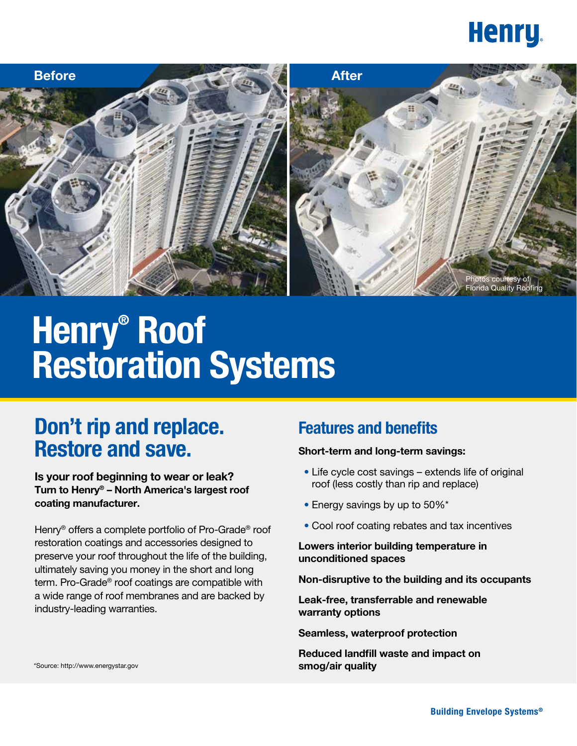



# $H$ **enry®** Roof **Restoration Systems**

## **Don't rip and replace. Restore and save.**

**Is your roof beginning to wear or leak? Turn to Henry® – North America's largest roof coating manufacturer.**

Henry® offers a complete portfolio of Pro-Grade® roof restoration coatings and accessories designed to preserve your roof throughout the life of the building, ultimately saving you money in the short and long term. Pro-Grade® roof coatings are compatible with a wide range of roof membranes and are backed by industry-leading warranties.

## **Features and benefits**

#### **Short-term and long-term savings:**

- Life cycle cost savings extends life of original roof (less costly than rip and replace)
- Energy savings by up to 50%\*
- Cool roof coating rebates and tax incentives

#### **Lowers interior building temperature in unconditioned spaces**

**Non-disruptive to the building and its occupants**

**Leak-free, transferrable and renewable warranty options**

**Seamless, waterproof protection**

**Reduced landfill waste and impact on smog/air quality**

\*Source: http://www.energystar.gov